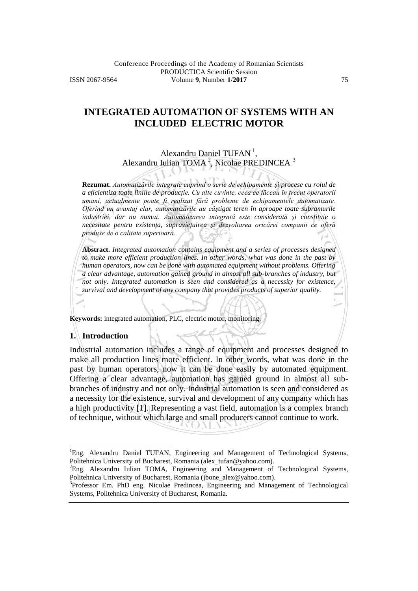# **INTEGRATED AUTOMATION OF SYSTEMS WITH AN INCLUDED ELECTRIC MOTOR**

## Alexandru Daniel TUFAN<sup>1</sup>, Alexandru Iulian TOMA<sup>2</sup>, Nicolae PREDINCEA<sup>3</sup>

**Rezumat.** *Automatizările integrate cuprind o serie de echipamente şi procese cu rolul de a eficientiza toate liniile de producţie. Cu alte cuvinte, ceea ce făceau în trecut operatorii umani, actualmente poate fi realizat fără probleme de echipamentele automatizate. Oferind un avantaj clar, automatizările au câştigat teren în aproape toate subramurile industriei, dar nu numai. Automatizarea integrată este considerată şi constituie o necesitate pentru existenţa, supravieţuirea şi dezvoltarea oricărei companii ce oferă produse de o calitate superioară.*

**Abstract.** *Integrated automation contains equipment and a series of processes designed to make more efficient production lines. In other words, what was done in the past by human operators, now can be done with automated equipment without problems. Offering a clear advantage, automation gained ground in almost all sub-branches of industry, but not only. Integrated automation is seen and considered as a necessity for existence, survival and development of any company that provides products of superior quality.*

**Keywords:** integrated automation, PLC, electric motor, monitoring.

### **1. Introduction**

 $\overline{a}$ 

Industrial automation includes a range of equipment and processes designed to make all production lines more efficient. In other words, what was done in the past by human operators, now it can be done easily by automated equipment. Offering a clear advantage, automation has gained ground in almost all subbranches of industry and not only. Industrial automation is seen and considered as a necessity for the existence, survival and development of any company which has a high productivity [1]. Representing a vast field, automation is a complex branch of technique, without which large and small producers cannot continue to work.

<sup>&</sup>lt;sup>1</sup>Eng. Alexandru Daniel TUFAN, Engineering and Management of Technological Systems, Politehnica University of Bucharest, Romania (alex\_tufan@yahoo.com).

<sup>&</sup>lt;sup>2</sup>Eng. Alexandru Iulian TOMA, Engineering and Management of Technological Systems, Politehnica University of Bucharest, Romania (jbone\_alex@yahoo.com).

<sup>&</sup>lt;sup>3</sup>Professor Em. PhD eng. Nicolae Predincea, Engineering and Management of Technological Systems, Politehnica University of Bucharest, Romania.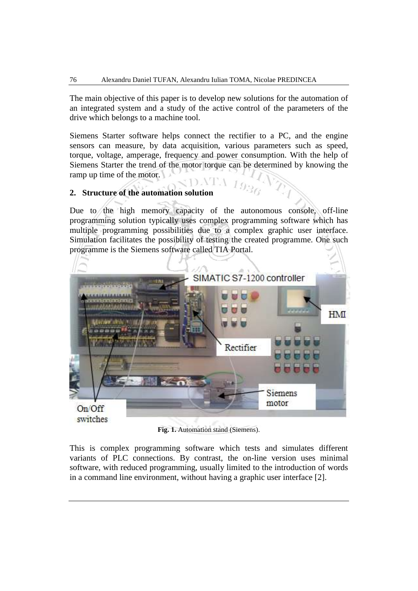The main objective of this paper is to develop new solutions for the automation of an integrated system and a study of the active control of the parameters of the drive which belongs to a machine tool.

Siemens Starter software helps connect the rectifier to a PC, and the engine sensors can measure, by data acquisition, various parameters such as speed, torque, voltage, amperage, frequency and power consumption. With the help of Siemens Starter the trend of the motor torque can be determined by knowing the ramp up time of the motor.

 $\Lambda$  10

### **2. Structure of the automation solution**

Due to the high memory capacity of the autonomous console, off-line programming solution typically uses complex programming software which has multiple programming possibilities due to a complex graphic user interface. Simulation facilitates the possibility of testing the created programme. One such programme is the Siemens software called TIA Portal.



**Fig. 1.** Automation stand (Siemens).

This is complex programming software which tests and simulates different variants of PLC connections. By contrast, the on-line version uses minimal software, with reduced programming, usually limited to the introduction of words in a command line environment, without having a graphic user interface [2].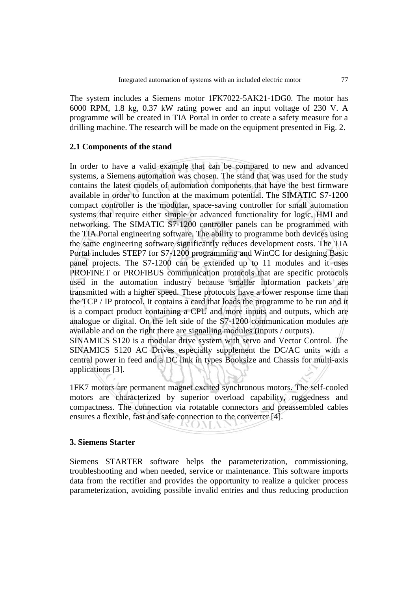The system includes a Siemens motor 1FK7022-5AK21-1DG0. The motor has 6000 RPM, 1.8 kg, 0.37 kW rating power and an input voltage of 230 V. A programme will be created in TIA Portal in order to create a safety measure for a drilling machine. The research will be made on the equipment presented in Fig. 2.

### **2.1 Components of the stand**

In order to have a valid example that can be compared to new and advanced systems, a Siemens automation was chosen. The stand that was used for the study contains the latest models of automation components that have the best firmware available in order to function at the maximum potential. The SIMATIC S7-1200 compact controller is the modular, space-saving controller for small automation systems that require either simple or advanced functionality for logic, HMI and networking. The SIMATIC S7-1200 controller panels can be programmed with the TIA Portal engineering software. The ability to programme both devices using the same engineering software significantly reduces development costs. The TIA Portal includes STEP7 for S7-1200 programming and WinCC for designing Basic panel projects. The S7-1200 can be extended up to 11 modules and it uses PROFINET or PROFIBUS communication protocols that are specific protocols used in the automation industry because smaller information packets are transmitted with a higher speed. These protocols have a lower response time than the TCP / IP protocol. It contains a card that loads the programme to be run and it is a compact product containing a CPU and more inputs and outputs, which are analogue or digital. On the left side of the S7-1200 communication modules are available and on the right there are signalling modules (inputs / outputs).

SINAMICS S120 is a modular drive system with servo and Vector Control. The SINAMICS S120 AC Drives especially supplement the DC/AC units with a central power in feed and a DC link in types Booksize and Chassis for multi-axis applications [3].

1FK7 motors are permanent magnet excited synchronous motors. The self-cooled motors are characterized by superior overload capability, ruggedness and compactness. The connection via rotatable connectors and preassembled cables ensures a flexible, fast and safe connection to the converter [4].

M.

#### **3. Siemens Starter**

Siemens STARTER software helps the parameterization, commissioning, troubleshooting and when needed, service or maintenance. This software imports data from the rectifier and provides the opportunity to realize a quicker process parameterization, avoiding possible invalid entries and thus reducing production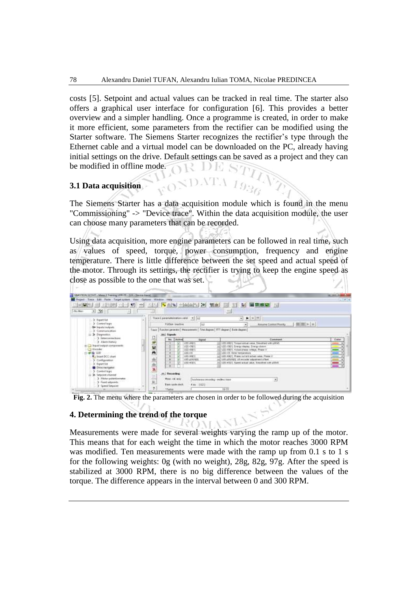costs [5]. Setpoint and actual values can be tracked in real time. The starter also offers a graphical user interface for configuration [6]. This provides a better overview and a simpler handling. Once a programme is created, in order to make it more efficient, some parameters from the rectifier can be modified using the Starter software. The Siemens Starter recognizes the rectifier's type through the Ethernet cable and a virtual model can be downloaded on the PC, already having initial settings on the drive. Default settings can be saved as a project and they can be modified in offline mode. VR DE

### **3.1 Data acquisition**

The Siemens Starter has a data acquisition module which is found in the menu "Commissioning" -> "Device trace". Within the data acquisition module, the user can choose many parameters that can be recorded.

Using data acquisition, more engine parameters can be followed in real time, such as values of speed, torque, power consumption, frequency and engine temperature. There is little difference between the set speed and actual speed of the motor. Through its settings, the rectifier is trying to keep the engine speed as close as possible to the one that was set.

| Figure Trace Edit Facts: Target system View Options: Window Help<br><b>MALE</b><br>功納<br> W <br>70 L<br>m.<br>$-1$ $\sqrt{2}$<br>(Ro Maxi-                                                                                                                                  | $\left \mathbf{v}\right $ and $\left \mathbf{v}\right $ are defined by $\mathbf{v}$<br>国语音区<br>20<br>圳<br>wir.<br>問題<br>쁘                                                                                                                                                                                                                                                                                                                                                                                                                                                              | $(4.10)$ 8                                                           |
|-----------------------------------------------------------------------------------------------------------------------------------------------------------------------------------------------------------------------------------------------------------------------------|----------------------------------------------------------------------------------------------------------------------------------------------------------------------------------------------------------------------------------------------------------------------------------------------------------------------------------------------------------------------------------------------------------------------------------------------------------------------------------------------------------------------------------------------------------------------------------------|----------------------------------------------------------------------|
| 3. Expert for<br>> Central legal<br>Sir Sepultulouipuis.<br>> Construction<br>11-3 Disposible<br>> Imperanonertials<br>> Alarm Nicholy<br>Beguin output composeds:<br>Tirrobder<br>$+44 + 120$<br>A liniert DCC chart<br>> Centquation<br>3 Expert list<br>China nevigator. | $-1$ $+1$ $+1$<br>Trace I personate cation year #1 just<br>照图(>[+]<br>FotOen insurive<br>Assure Control Priority<br>ÌШ<br>۰                                                                                                                                                                                                                                                                                                                                                                                                                                                            |                                                                      |
|                                                                                                                                                                                                                                                                             | Free: Rucolor perentor) Massuments [. The disgues] FIT disgnes   Bate disgnes  <br><b>Hel Signals</b><br>Attive<br>Mo.<br><b>Norwal</b><br>Contraré<br>USS-AND IT Threshe assure value. Timosthed with stillah.<br>100,691<br>U00 +100 *<br>U22.-1011 finety depes. Every drawn<br><b>USS WWY</b><br>U20 -00(1). Actual phase votage. Phase V.<br>$100 + 16$<br>LOO HE MINI MARgentiure<br>U20 HWIT: Riggle culrent actual rakes. Phase V.<br>LOS NORTH<br>Ltdt pitcheda velocies 10. patterna in<br><b>ME CRIST</b><br>100 4021 Speed actual value. Someone with pillule<br>LUSS-HOUT | Eater<br>$m = 7$<br>$\overline{\phantom{a}}$<br>$\blacksquare$<br>E. |
| 3 Centralings<br>3. Selected channel<br>3. Matur polaritamentes<br>> Ford sequents<br>S. Speed Sesport                                                                                                                                                                      | ■ ■ ■ ■ ■<br>us   Housday<br>Mass.val.acq.<br>hold-more a removing members have<br>$\overline{a}$<br>Redo cycle shock<br>4 ms (LCC)<br>?                                                                                                                                                                                                                                                                                                                                                                                                                                               |                                                                      |

**Fig. 2.** The menu where the parameters are chosen in order to be followed during the acquisition

## **4. Determining the trend of the torque**

Measurements were made for several weights varying the ramp up of the motor. This means that for each weight the time in which the motor reaches 3000 RPM was modified. Ten measurements were made with the ramp up from 0.1 s to 1 s for the following weights: 0g (with no weight), 28g, 82g, 97g. After the speed is stabilized at 3000 RPM, there is no big difference between the values of the torque. The difference appears in the interval between 0 and 300 RPM.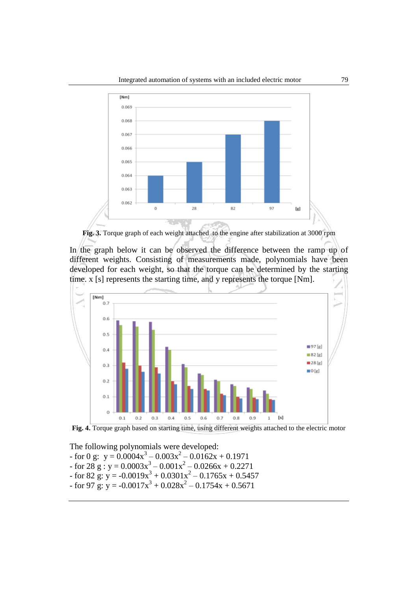

**Fig. 3.** Torque graph of each weight attached to the engine after stabilization at 3000 rpm

In the graph below it can be observed the difference between the ramp up of different weights. Consisting of measurements made, polynomials have been developed for each weight, so that the torque can be determined by the starting time. x [s] represents the starting time, and y represents the torque [Nm].



Fig. 4. Torque graph based on starting time, using different weights attached to the electric motor

The following polynomials were developed:

- for 0 g:  $y = 0.0004x^3 0.003x^2 0.0162x + 0.1971$
- $-$  for 28 g : y = 0.0003x<sup>3</sup> 0.001x<sup>2</sup> 0.0266x + 0.2271
- for 82 g:  $y = -0.0019x^3 + 0.0301x^2 0.1765x + 0.5457$
- $-$  for 97 g:  $y = -0.0017x^3 + 0.028x^2 0.1754x + 0.5671$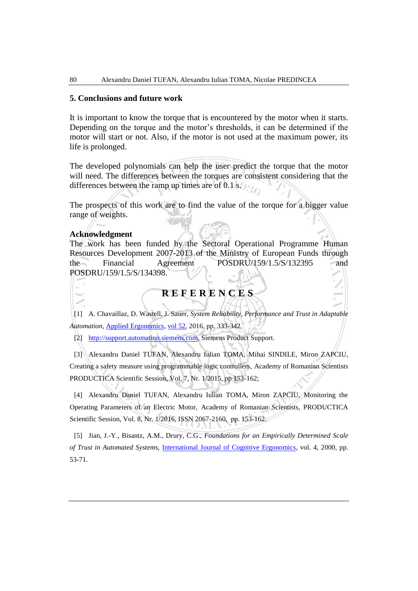#### **5. Conclusions and future work**

It is important to know the torque that is encountered by the motor when it starts. Depending on the torque and the motor's thresholds, it can be determined if the motor will start or not. Also, if the motor is not used at the maximum power, its life is prolonged.

The developed polynomials can help the user predict the torque that the motor will need. The differences between the torques are consistent considering that the differences between the ramp up times are of 0.1 s.

The prospects of this work are to find the value of the torque for a bigger value range of weights.

#### **Acknowledgment**

The work has been funded by the Sectoral Operational Programme Human Resources Development 2007-2013 of the Ministry of European Funds through the Financial Agreement POSDRU/159/1.5/S/132395 and POSDRU/159/1.5/S/134398.

## **R E F E R E N C E S**

[1] A. Chavaillaz, D. Wastell, J. Sauer, *System Reliability, Performance and Trust in Adaptable Automation*, [Applied Ergonomics,](http://www.sciencedirect.com/science/journal/00036870) [vol 52,](http://www.sciencedirect.com/science/journal/00036870/52/supp/C) 2016, pp. 333-342.

[2] [http://support.automation.siemens.com,](http://support.automation.siemens.com/) Siemens Product Support.

[3] Alexandru Daniel TUFAN, Alexandru Iulian TOMA, Mihai SINDILE, Miron ZAPCIU, Creating a safety measure using programmable logic controllers, Academy of Romanian Scientists PRODUCTICA Scientific Session, Vol. 7, Nr. 1/2015, pp 153-162;

[4] Alexandru Daniel TUFAN, Alexandru Iulian TOMA, Miron ZAPCIU, Monitoring the Operating Parameters of an Electric Motor, Academy of Romanian Scientists, PRODUCTICA Scientific Session, Vol. 8, Nr. 1/2016, ISSN 2067-2160, pp. 153-162.

[5] Jian, J.-Y., Bisantz, A.M., Drury, C.G., *Foundations for an Empirically Determined Scale of Trust in Automated Systems*, [International Journal of Cognitive Ergonomics,](https://www.researchgate.net/journal/1088-6362_International_Journal_of_Cognitive_Ergonomics) vol. 4, 2000, pp. 53-71.